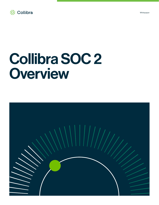

# Collibra SOC 2 **Overview**